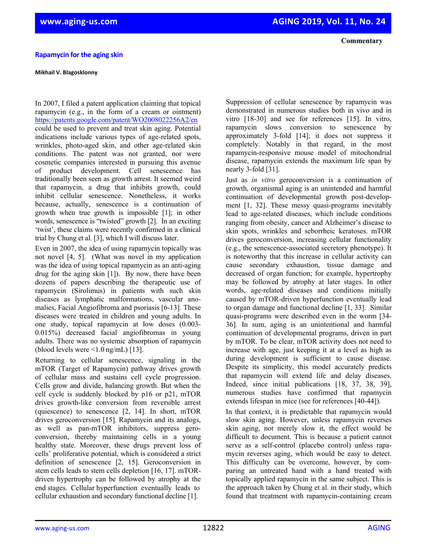## **Mikhail V. Blagosklonny**

In 2007, I filed a patent application claiming that topical rapamycin (e.g., in the form of a cream or ointment) <https://patents.google.com/patent/WO2008022256A2/en> could be used to prevent and treat skin aging. Potential indications include various types of age-related spots, wrinkles, photo-aged skin, and other age-related skin conditions. The patent was not granted, nor were cosmetic companies interested in pursuing this avenue of product development. Cell senescence has traditionally been seen as growth arrest. It seemed weird that rapamycin, a drug that inhibits growth, could inhibit cellular senescence. Nonetheless, it works because, actually, senescence is a continuation of growth when true growth is impossible [1]; in other words, senescence is "twisted" growth [2]. In an exciting 'twist', these claims were recently confirmed in a clinical trial by Chung et al. [3], which I will discuss later.

Even in 2007, the idea of using rapamycin topically was not novel [4, 5]. (What was novel in my application was the idea of using topical rapamycin as an anti-aging drug for the aging skin [1]). By now, there have been dozens of papers describing the therapeutic use of rapamycin (Sirolimus) in patients with such skin diseases as lymphatic malformations, vascular anomalies, Facial Angiofibroma and psoriasis [6-13]. These diseases were treated in children and young adults. In one study, topical rapamycin at low doses (0.003- 0.015%) decreased facial angiofibromas in young adults. There was no systemic absorption of rapamycin (blood levels were <1.0 ng/mL) [13].

Returning to cellular senescence, signaling in the mTOR (Target of Rapamycin) pathway drives growth of cellular mass and sustains cell cycle progression. Cells grow and divide, balancing growth. But when the cell cycle is suddenly blocked by p16 or p21, mTOR drives growth-like conversion from reversible arrest (quiescence) to senescence [2, 14]. In short, mTOR drives geroconversion [15]. Rapamycin and its analogs, as well as pan-mTOR inhibitors, suppress geroconversion, thereby maintaining cells in a young healthy state. Moreover, these drugs prevent loss of cells' proliferative potential, which is considered a strict definition of senescence [2, 15]. Geroconversion in stem cells leads to stem cells depletion [16, 17]. mTORdriven hypertrophy can be followed by atrophy at the end stages. Cellular hyperfunction eventually leads to cellular exhaustion and secondary functional decline [1].

Suppression of cellular senescence by rapamycin was demonstrated in numerous studies both in vivo and in vitro [18-30] and see for references [15]. In vitro, rapamycin slows conversion to senescence by approximately 3-fold [14]; it does not suppress it completely. Notably in that regard, in the most rapamycin-responsive mouse model of mitochondrial disease, rapamycin extends the maximum life span by nearly 3-fold [31].

Just as *in vitro* geroconversion is a continuation of growth, organismal aging is an unintended and harmful continuation of developmental growth post-development [1, 32]. These messy quasi-programs inevitably lead to age-related diseases, which include conditions ranging from obesity, cancer and Alzheimer's disease to skin spots, wrinkles and seborrheic keratoses. mTOR drives geroconversion, increasing cellular functionality (e.g., the senescence-associated secretory phenotype). It is noteworthy that this increase in cellular activity can cause secondary exhaustion, tissue damage and decreased of organ function; for example, hypertrophy may be followed by atrophy at later stages. In other words, age-related diseases and conditions initially caused by mTOR-driven hyperfunction eventually lead to organ damage and functional decline [1, 33]. Similar quasi-programs were described even in the worm [34- 36]. In sum, aging is an unintentional and harmful continuation of developmental programs, driven in part by mTOR. To be clear, mTOR activity does not need to increase with age, just keeping it at a level as high as during development is sufficient to cause disease. Despite its simplicity, this model accurately predicts that rapamycin will extend life and delay diseases. Indeed, since initial publications [18, 37, 38, 39], numerous studies have confirmed that rapamycin extends lifespan in mice (see for references [40-44]).

In that context, it is predictable that rapamycin would slow skin aging. However, unless rapamycin reverses skin aging, not merely slow it, the effect would be difficult to document. This is because a patient cannot serve as a self-control (placebo control) unless rapamycin reverses aging, which would be easy to detect. This difficulty can be overcome, however, by comparing an untreated hand with a hand treated with topically applied rapamycin in the same subject. This is the approach taken by Chung et al. in their study, which found that treatment with rapamycin-containing cream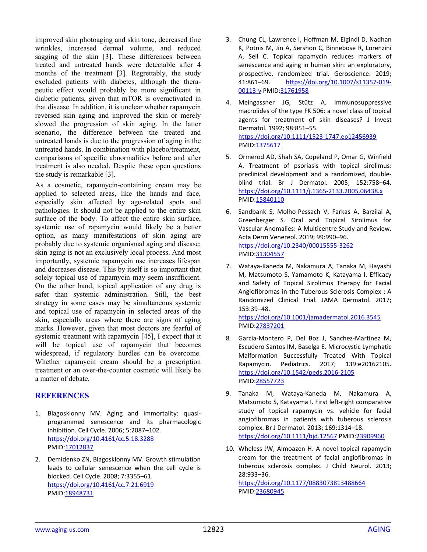improved skin photoaging and skin tone, decreased fine wrinkles, increased dermal volume, and reduced sagging of the skin [3]. These differences between treated and untreated hands were detectable after 4 months of the treatment [3]. Regrettably, the study excluded patients with diabetes, although the therapeutic effect would probably be more significant in diabetic patients, given that mTOR is overactivated in that disease. In addition, it is unclear whether rapamycin reversed skin aging and improved the skin or merely slowed the progression of skin aging. In the latter scenario, the difference between the treated and untreated hands is due to the progression of aging in the untreated hands. In combination with placebo/treatment, comparisons of specific abnormalities before and after treatment is also needed. Despite these open questions the study is remarkable [3].

As a cosmetic, rapamycin-containing cream may be applied to selected areas, like the hands and face, especially skin affected by age-related spots and pathologies. It should not be applied to the entire skin surface of the body. To affect the entire skin surface, systemic use of rapamycin would likely be a better option, as many manifestations of skin aging are probably due to systemic organismal aging and disease; skin aging is not an exclusively local process. And most importantly, systemic rapamycin use increases lifespan and decreases disease. This by itself is so important that solely topical use of rapamycin may seem insufficient. On the other hand, topical application of any drug is safer than systemic administration. Still, the best strategy in some cases may be simultaneous systemic and topical use of rapamycin in selected areas of the skin, especially areas where there are signs of aging marks. However, given that most doctors are fearful of systemic treatment with rapamycin [45], I expect that it will be topical use of rapamycin that becomes widespread, if regulatory hurdles can be overcome. Whether rapamycin cream should be a prescription treatment or an over-the-counter cosmetic will likely be a matter of debate.

## **REFERENCES**

- 1. Blagosklonny MV. Aging and immortality: quasiprogrammed senescence and its pharmacologic inhibition. Cell Cycle. 2006; 5:2087–102. <https://doi.org/10.4161/cc.5.18.3288> PMID[:17012837](https://www.ncbi.nlm.nih.gov/entrez/query.fcgi?cmd=Retrieve&db=PubMed&list_uids=17012837&dopt=Abstract)
- 2. Demidenko ZN, Blagosklonny MV. Growth stimulation leads to cellular senescence when the cell cycle is blocked. Cell Cycle. 2008; 7:3355–61. <https://doi.org/10.4161/cc.7.21.6919> PMID[:18948731](https://www.ncbi.nlm.nih.gov/entrez/query.fcgi?cmd=Retrieve&db=PubMed&list_uids=18948731&dopt=Abstract)
- 3. Chung CL, Lawrence I, Hoffman M, Elgindi D, Nadhan K, Potnis M, Jin A, Sershon C, Binnebose R, Lorenzini A, Sell C. Topical rapamycin reduces markers of senescence and aging in human skin: an exploratory, prospective, randomized trial. Geroscience. 2019; 41:861–69. [https://doi.org/10.1007/s11357-019-](https://doi.org/10.1007/s11357-019-00113-y) [00113-y](https://doi.org/10.1007/s11357-019-00113-y) PMID[:31761958](https://www.ncbi.nlm.nih.gov/entrez/query.fcgi?cmd=Retrieve&db=PubMed&list_uids=31761958&dopt=Abstract)
- 4. Meingassner JG, Stütz A. Immunosuppressive macrolides of the type FK 506: a novel class of topical agents for treatment of skin diseases? J Invest Dermatol. 1992; 98:851–55. <https://doi.org/10.1111/1523-1747.ep12456939> PMID[:1375617](https://www.ncbi.nlm.nih.gov/entrez/query.fcgi?cmd=Retrieve&db=PubMed&list_uids=1375617&dopt=Abstract)
- 5. Ormerod AD, Shah SA, Copeland P, Omar G, Winfield A. Treatment of psoriasis with topical sirolimus: preclinical development and a randomized, doubleblind trial. Br J Dermatol. 2005; 152:758–64. <https://doi.org/10.1111/j.1365-2133.2005.06438.x> PMID[:15840110](https://www.ncbi.nlm.nih.gov/entrez/query.fcgi?cmd=Retrieve&db=PubMed&list_uids=15840110&dopt=Abstract)
- 6. Sandbank S, Molho-Pessach V, Farkas A, Barzilai A, Greenberger S. Oral and Topical Sirolimus for Vascular Anomalies: A Multicentre Study and Review. Acta Derm Venereol. 2019; 99:990–96. <https://doi.org/10.2340/00015555-3262> PMID[:31304557](https://www.ncbi.nlm.nih.gov/entrez/query.fcgi?cmd=Retrieve&db=PubMed&list_uids=31304557&dopt=Abstract)
- 7. Wataya-Kaneda M, Nakamura A, Tanaka M, Hayashi M, Matsumoto S, Yamamoto K, Katayama I. Efficacy and Safety of Topical Sirolimus Therapy for Facial Angiofibromas in the Tuberous Sclerosis Complex : A Randomized Clinical Trial. JAMA Dermatol. 2017; 153:39–48.

<https://doi.org/10.1001/jamadermatol.2016.3545> PMID[:27837201](https://www.ncbi.nlm.nih.gov/entrez/query.fcgi?cmd=Retrieve&db=PubMed&list_uids=27837201&dopt=Abstract)

- 8. García-Montero P, Del Boz J, Sanchez-Martínez M, Escudero Santos IM, Baselga E. Microcystic Lymphatic Malformation Successfully Treated With Topical Rapamycin. Pediatrics. 2017; 139:e20162105. <https://doi.org/10.1542/peds.2016-2105> PMID[:28557723](https://www.ncbi.nlm.nih.gov/entrez/query.fcgi?cmd=Retrieve&db=PubMed&list_uids=28557723&dopt=Abstract)
- 9. Tanaka M, Wataya-Kaneda M, Nakamura A, Matsumoto S, Katayama I. First left-right comparative study of topical rapamycin vs. vehicle for facial angiofibromas in patients with tuberous sclerosis complex. Br J Dermatol. 2013; 169:1314–18. <https://doi.org/10.1111/bjd.12567> PMID[:23909960](https://www.ncbi.nlm.nih.gov/entrez/query.fcgi?cmd=Retrieve&db=PubMed&list_uids=23909960&dopt=Abstract)
- 10. Wheless JW, Almoazen H. A novel topical rapamycin cream for the treatment of facial angiofibromas in tuberous sclerosis complex. J Child Neurol. 2013; 28:933–36. <https://doi.org/10.1177/0883073813488664> PMID[:23680945](https://www.ncbi.nlm.nih.gov/entrez/query.fcgi?cmd=Retrieve&db=PubMed&list_uids=23680945&dopt=Abstract)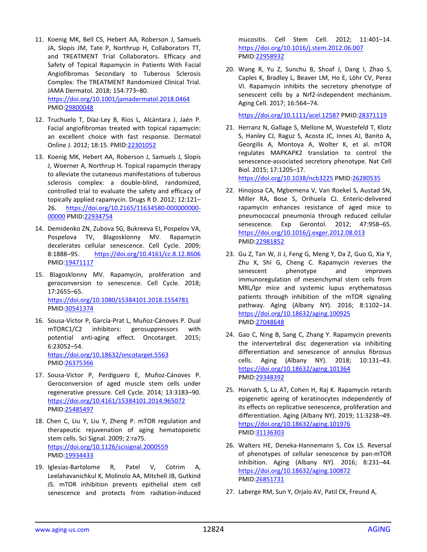- 11. Koenig MK, Bell CS, Hebert AA, Roberson J, Samuels JA, Slopis JM, Tate P, Northrup H, Collaborators TT, and TREATMENT Trial Collaborators. Efficacy and Safety of Topical Rapamycin in Patients With Facial Angiofibromas Secondary to Tuberous Sclerosis Complex: The TREATMENT Randomized Clinical Trial. JAMA Dermatol. 2018; 154:773–80. <https://doi.org/10.1001/jamadermatol.2018.0464> PMID[:29800048](https://www.ncbi.nlm.nih.gov/entrez/query.fcgi?cmd=Retrieve&db=PubMed&list_uids=29800048&dopt=Abstract)
- 12. Truchuelo T, Díaz-Ley B, Ríos L, Alcántara J, Jaén P. Facial angiofibromas treated with topical rapamycin: an excellent choice with fast response. Dermatol Online J. 2012; 18:15. PMID[:22301052](https://www.ncbi.nlm.nih.gov/entrez/query.fcgi?cmd=Retrieve&db=PubMed&list_uids=22301052&dopt=Abstract)
- 13. Koenig MK, Hebert AA, Roberson J, Samuels J, Slopis J, Woerner A, Northrup H. Topical rapamycin therapy to alleviate the cutaneous manifestations of tuberous sclerosis complex: a double-blind, randomized, controlled trial to evaluate the safety and efficacy of topically applied rapamycin. Drugs R D. 2012; 12:121– 26. [https://doi.org/10.2165/11634580-000000000-](https://doi.org/10.2165/11634580-000000000-00000) [00000](https://doi.org/10.2165/11634580-000000000-00000) PMID[:22934754](https://www.ncbi.nlm.nih.gov/entrez/query.fcgi?cmd=Retrieve&db=PubMed&list_uids=22934754&dopt=Abstract)
- 14. Demidenko ZN, Zubova SG, Bukreeva EI, Pospelov VA, Pospelova TV, Blagosklonny MV. Rapamycin decelerates cellular senescence. Cell Cycle. 2009; 8:1888–95. <https://doi.org/10.4161/cc.8.12.8606> PMID[:19471117](https://www.ncbi.nlm.nih.gov/entrez/query.fcgi?cmd=Retrieve&db=PubMed&list_uids=19471117&dopt=Abstract)
- 15. Blagosklonny MV. Rapamycin, proliferation and geroconversion to senescence. Cell Cycle. 2018; 17:2655–65. <https://doi.org/10.1080/15384101.2018.1554781> PMID[:30541374](https://www.ncbi.nlm.nih.gov/entrez/query.fcgi?cmd=Retrieve&db=PubMed&list_uids=30541374&dopt=Abstract)
- 16. Sousa-Victor P, García-Prat L, Muñoz-Cánoves P. Dual mTORC1/C2 inhibitors: gerosuppressors with potential anti-aging effect. Oncotarget. 2015; 6:23052–54. <https://doi.org/10.18632/oncotarget.5563> PMID[:26375366](https://www.ncbi.nlm.nih.gov/entrez/query.fcgi?cmd=Retrieve&db=PubMed&list_uids=26375366&dopt=Abstract)
- 17. Sousa-Victor P, Perdiguero E, Muñoz-Cánoves P. Geroconversion of aged muscle stem cells under regenerative pressure. Cell Cycle. 2014; 13:3183–90. <https://doi.org/10.4161/15384101.2014.965072> PMID[:25485497](https://www.ncbi.nlm.nih.gov/entrez/query.fcgi?cmd=Retrieve&db=PubMed&list_uids=25485497&dopt=Abstract)
- 18. Chen C, Liu Y, Liu Y, Zheng P. mTOR regulation and therapeutic rejuvenation of aging hematopoietic stem cells. Sci Signal. 2009; 2:ra75. <https://doi.org/10.1126/scisignal.2000559> PMID: 19934433
- 19. Iglesias-Bartolome R, Patel V, Cotrim A, Leelahavanichkul K, Molinolo AA, Mitchell JB, Gutkind JS. mTOR inhibition prevents epithelial stem cell senescence and protects from radiation-induced

mucositis. Cell Stem Cell. 2012; 11:401–14. <https://doi.org/10.1016/j.stem.2012.06.007> PMID[:22958932](https://www.ncbi.nlm.nih.gov/entrez/query.fcgi?cmd=Retrieve&db=PubMed&list_uids=22958932&dopt=Abstract)

20. Wang R, Yu Z, Sunchu B, Shoaf J, Dang I, Zhao S, Caples K, Bradley L, Beaver LM, Ho E, Löhr CV, Perez VI. Rapamycin inhibits the secretory phenotype of senescent cells by a Nrf2-independent mechanism. Aging Cell. 2017; 16:564–74.

<https://doi.org/10.1111/acel.12587> PMID[:28371119](https://www.ncbi.nlm.nih.gov/entrez/query.fcgi?cmd=Retrieve&db=PubMed&list_uids=28371119&dopt=Abstract)

21. Herranz N, Gallage S, Mellone M, Wuestefeld T, Klotz S, Hanley CJ, Raguz S, Acosta JC, Innes AJ, Banito A, Georgilis A, Montoya A, Wolter K, et al. mTOR regulates MAPKAPK2 translation to control the senescence-associated secretory phenotype. Nat Cell Biol. 2015; 17:1205–17.

<https://doi.org/10.1038/ncb3225> PMID[:26280535](https://www.ncbi.nlm.nih.gov/entrez/query.fcgi?cmd=Retrieve&db=PubMed&list_uids=26280535&dopt=Abstract)

- 22. Hinojosa CA, Mgbemena V, Van Roekel S, Austad SN, Miller RA, Bose S, Orihuela CJ. Enteric-delivered rapamycin enhances resistance of aged mice to pneumococcal pneumonia through reduced cellular senescence. Exp Gerontol. 2012; 47:958–65. <https://doi.org/10.1016/j.exger.2012.08.013> PMID[:22981852](https://www.ncbi.nlm.nih.gov/entrez/query.fcgi?cmd=Retrieve&db=PubMed&list_uids=22981852&dopt=Abstract)
- 23. Gu Z, Tan W, Ji J, Feng G, Meng Y, Da Z, Guo G, Xia Y, Zhu X, Shi G, Cheng C. Rapamycin reverses the senescent phenotype and improves immunoregulation of mesenchymal stem cells from MRL/lpr mice and systemic lupus erythematosus patients through inhibition of the mTOR signaling pathway. Aging (Albany NY). 2016; 8:1102–14. <https://doi.org/10.18632/aging.100925> PMID[:27048648](https://www.ncbi.nlm.nih.gov/entrez/query.fcgi?cmd=Retrieve&db=PubMed&list_uids=27048648&dopt=Abstract)
- 24. Gao C, Ning B, Sang C, Zhang Y. Rapamycin prevents the intervertebral disc degeneration via inhibiting differentiation and senescence of annulus fibrosus cells. Aging (Albany NY). 2018; 10:131–43. <https://doi.org/10.18632/aging.101364> PMID[:29348392](https://www.ncbi.nlm.nih.gov/entrez/query.fcgi?cmd=Retrieve&db=PubMed&list_uids=29348392&dopt=Abstract)
- 25. Horvath S, Lu AT, Cohen H, Raj K. Rapamycin retards epigenetic ageing of keratinocytes independently of its effects on replicative senescence, proliferation and differentiation. Aging (Albany NY). 2019; 11:3238–49. <https://doi.org/10.18632/aging.101976> PMID[:31136303](https://www.ncbi.nlm.nih.gov/entrez/query.fcgi?cmd=Retrieve&db=PubMed&list_uids=31136303&dopt=Abstract)
- 26. Walters HE, Deneka-Hannemann S, Cox LS. Reversal of phenotypes of cellular senescence by pan-mTOR inhibition. Aging (Albany NY). 2016; 8:231–44. <https://doi.org/10.18632/aging.100872> PMID[:26851731](https://www.ncbi.nlm.nih.gov/entrez/query.fcgi?cmd=Retrieve&db=PubMed&list_uids=26851731&dopt=Abstract)
- 27. Laberge RM, Sun Y, Orjalo AV, Patil CK, Freund A,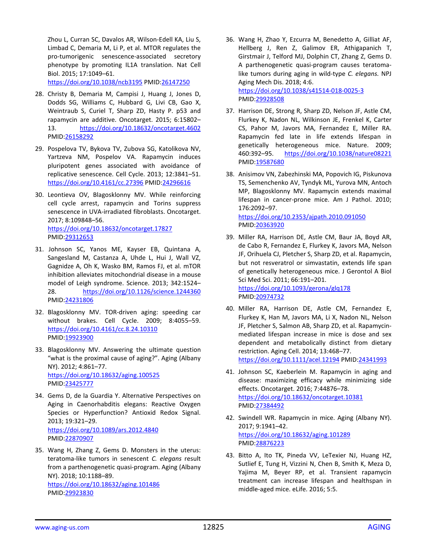Zhou L, Curran SC, Davalos AR, Wilson-Edell KA, Liu S, Limbad C, Demaria M, Li P, et al. MTOR regulates the pro-tumorigenic senescence-associated secretory phenotype by promoting IL1A translation. Nat Cell Biol. 2015; 17:1049–61.

<https://doi.org/10.1038/ncb3195> PMID[:26147250](https://www.ncbi.nlm.nih.gov/entrez/query.fcgi?cmd=Retrieve&db=PubMed&list_uids=26147250&dopt=Abstract)

- 28. Christy B, Demaria M, Campisi J, Huang J, Jones D, Dodds SG, Williams C, Hubbard G, Livi CB, Gao X, Weintraub S, Curiel T, Sharp ZD, Hasty P. p53 and rapamycin are additive. Oncotarget. 2015; 6:15802– 13. <https://doi.org/10.18632/oncotarget.4602> PMID[:26158292](https://www.ncbi.nlm.nih.gov/entrez/query.fcgi?cmd=Retrieve&db=PubMed&list_uids=26158292&dopt=Abstract)
- 29. Pospelova TV, Bykova TV, Zubova SG, Katolikova NV, Yartzeva NM, Pospelov VA. Rapamycin induces pluripotent genes associated with avoidance of replicative senescence. Cell Cycle. 2013; 12:3841–51. <https://doi.org/10.4161/cc.27396> PMID[:24296616](https://www.ncbi.nlm.nih.gov/entrez/query.fcgi?cmd=Retrieve&db=PubMed&list_uids=24296616&dopt=Abstract)
- 30. Leontieva OV, Blagosklonny MV. While reinforcing cell cycle arrest, rapamycin and Torins suppress senescence in UVA-irradiated fibroblasts. Oncotarget. 2017; 8:109848–56. <https://doi.org/10.18632/oncotarget.17827> PMID[:29312653](https://www.ncbi.nlm.nih.gov/entrez/query.fcgi?cmd=Retrieve&db=PubMed&list_uids=29312653&dopt=Abstract)
- 31. Johnson SC, Yanos ME, Kayser EB, Quintana A, Sangesland M, Castanza A, Uhde L, Hui J, Wall VZ, Gagnidze A, Oh K, Wasko BM, Ramos FJ, et al. mTOR inhibition alleviates mitochondrial disease in a mouse model of Leigh syndrome. Science. 2013; 342:1524– 28. <https://doi.org/10.1126/science.1244360> PMID[:24231806](https://www.ncbi.nlm.nih.gov/entrez/query.fcgi?cmd=Retrieve&db=PubMed&list_uids=24231806&dopt=Abstract)
- 32. Blagosklonny MV. TOR-driven aging: speeding car without brakes. Cell Cycle. 2009; 8:4055–59. <https://doi.org/10.4161/cc.8.24.10310> PMID: 19923900
- 33. Blagosklonny MV. Answering the ultimate question "what is the proximal cause of aging?". Aging (Albany NY). 2012; 4:861–77. <https://doi.org/10.18632/aging.100525> PMID[:23425777](https://www.ncbi.nlm.nih.gov/entrez/query.fcgi?cmd=Retrieve&db=PubMed&list_uids=23425777&dopt=Abstract)
- 34. Gems D, de la Guardia Y. Alternative Perspectives on Aging in Caenorhabditis elegans: Reactive Oxygen Species or Hyperfunction? Antioxid Redox Signal. 2013; 19:321–29. <https://doi.org/10.1089/ars.2012.4840> PMID[:22870907](https://www.ncbi.nlm.nih.gov/entrez/query.fcgi?cmd=Retrieve&db=PubMed&list_uids=22870907&dopt=Abstract)
- 35. Wang H, Zhang Z, Gems D. Monsters in the uterus: teratoma-like tumors in senescent *C. elegans* result from a parthenogenetic quasi-program. Aging (Albany NY). 2018; 10:1188–89. <https://doi.org/10.18632/aging.101486> PMID[:29923830](https://www.ncbi.nlm.nih.gov/entrez/query.fcgi?cmd=Retrieve&db=PubMed&list_uids=29923830&dopt=Abstract)

36. Wang H, Zhao Y, Ezcurra M, Benedetto A, Gilliat AF, Hellberg J, Ren Z, Galimov ER, Athigapanich T, Girstmair J, Telford MJ, Dolphin CT, Zhang Z, Gems D. A parthenogenetic quasi-program causes teratomalike tumors during aging in wild-type *C. elegans.* NPJ Aging Mech Dis. 2018; 4:6. <https://doi.org/10.1038/s41514-018-0025-3>

PMID[:29928508](https://www.ncbi.nlm.nih.gov/entrez/query.fcgi?cmd=Retrieve&db=PubMed&list_uids=29928508&dopt=Abstract)

- 37. Harrison DE, Strong R, Sharp ZD, Nelson JF, Astle CM, Flurkey K, Nadon NL, Wilkinson JE, Frenkel K, Carter CS, Pahor M, Javors MA, Fernandez E, Miller RA. Rapamycin fed late in life extends lifespan in genetically heterogeneous mice. Nature. 2009; 460:392–95. <https://doi.org/10.1038/nature08221> PMID[:19587680](https://www.ncbi.nlm.nih.gov/entrez/query.fcgi?cmd=Retrieve&db=PubMed&list_uids=19587680&dopt=Abstract)
- 38. Anisimov VN, Zabezhinski MA, Popovich IG, Piskunova TS, Semenchenko AV, Tyndyk ML, Yurova MN, Antoch MP, Blagosklonny MV. Rapamycin extends maximal lifespan in cancer-prone mice. Am J Pathol. 2010; 176:2092–97. <https://doi.org/10.2353/ajpath.2010.091050> PMID[:20363920](https://www.ncbi.nlm.nih.gov/entrez/query.fcgi?cmd=Retrieve&db=PubMed&list_uids=20363920&dopt=Abstract)
- 39. Miller RA, Harrison DE, Astle CM, Baur JA, Boyd AR, de Cabo R, Fernandez E, Flurkey K, Javors MA, Nelson JF, Orihuela CJ, Pletcher S, Sharp ZD, et al. Rapamycin, but not resveratrol or simvastatin, extends life span of genetically heterogeneous mice. J Gerontol A Biol Sci Med Sci. 2011; 66:191–201. <https://doi.org/10.1093/gerona/glq178>

PMID[:20974732](https://www.ncbi.nlm.nih.gov/entrez/query.fcgi?cmd=Retrieve&db=PubMed&list_uids=20974732&dopt=Abstract)

- 40. Miller RA, Harrison DE, Astle CM, Fernandez E, Flurkey K, Han M, Javors MA, Li X, Nadon NL, Nelson JF, Pletcher S, Salmon AB, Sharp ZD, et al. Rapamycinmediated lifespan increase in mice is dose and sex dependent and metabolically distinct from dietary restriction. Aging Cell. 2014; 13:468–77. <https://doi.org/10.1111/acel.12194> PMID[:24341993](https://www.ncbi.nlm.nih.gov/entrez/query.fcgi?cmd=Retrieve&db=PubMed&list_uids=24341993&dopt=Abstract)
- 41. Johnson SC, Kaeberlein M. Rapamycin in aging and disease: maximizing efficacy while minimizing side effects. Oncotarget. 2016; 7:44876–78. <https://doi.org/10.18632/oncotarget.10381> PMID[:27384492](https://www.ncbi.nlm.nih.gov/entrez/query.fcgi?cmd=Retrieve&db=PubMed&list_uids=27384492&dopt=Abstract)
- 42. Swindell WR. Rapamycin in mice. Aging (Albany NY). 2017; 9:1941–42. <https://doi.org/10.18632/aging.101289> PMID[:28876223](https://www.ncbi.nlm.nih.gov/entrez/query.fcgi?cmd=Retrieve&db=PubMed&list_uids=28876223&dopt=Abstract)
- 43. Bitto A, Ito TK, Pineda VV, LeTexier NJ, Huang HZ, Sutlief E, Tung H, Vizzini N, Chen B, Smith K, Meza D, Yajima M, Beyer RP, et al. Transient rapamycin treatment can increase lifespan and healthspan in middle-aged mice. eLife. 2016; 5:5.